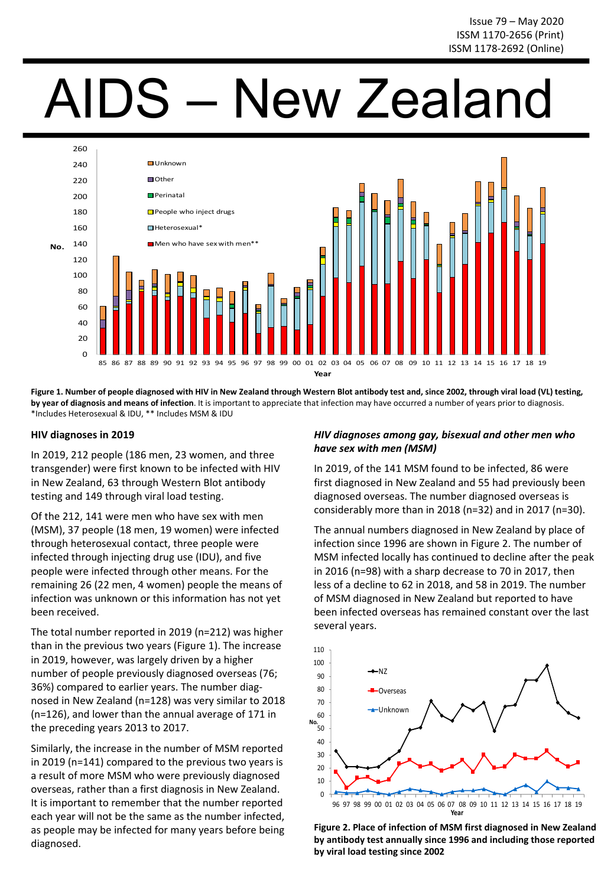# AIDS – New Zealand



Figure 1. Number of people diagnosed with HIV in New Zealand through Western Blot antibody test and, since 2002, through viral load (VL) testing, by year of diagnosis and means of infection. It is important to appreciate that infection may have occurred a number of years prior to diagnosis. \*Includes Heterosexual & IDU, \*\* Includes MSM & IDU 

### **HIV diagnoses in 2019**

In 2019, 212 people (186 men, 23 women, and three transgender) were first known to be infected with HIV in New Zealand, 63 through Western Blot antibody testing and 149 through viral load testing.

Of the 212, 141 were men who have sex with men (MSM), 37 people (18 men, 19 women) were infected through heterosexual contact, three people were infected through injecting drug use (IDU), and five people were infected through other means. For the remaining 26 (22 men, 4 women) people the means of infection was unknown or this information has not yet been received.

The total number reported in 2019 (n=212) was higher than in the previous two years (Figure 1). The increase in 2019, however, was largely driven by a higher number of people previously diagnosed overseas (76; 36%) compared to earlier years. The number diagnosed in New Zealand (n=128) was very similar to 2018 ( $n=126$ ), and lower than the annual average of 171 in the preceding years 2013 to 2017.

Similarly, the increase in the number of MSM reported in 2019 ( $n=141$ ) compared to the previous two years is a result of more MSM who were previously diagnosed overseas, rather than a first diagnosis in New Zealand. It is important to remember that the number reported each year will not be the same as the number infected, as people may be infected for many years before being diagnosed.

# *HIV diagnoses among gay, bisexual and other men who*  have sex with men (MSM)

In 2019, of the 141 MSM found to be infected, 86 were first diagnosed in New Zealand and 55 had previously been diagnosed overseas. The number diagnosed overseas is considerably more than in 2018 (n=32) and in 2017 (n=30).

The annual numbers diagnosed in New Zealand by place of infection since 1996 are shown in Figure 2. The number of MSM infected locally has continued to decline after the peak in 2016 (n=98) with a sharp decrease to 70 in 2017, then less of a decline to 62 in 2018, and 58 in 2019. The number of MSM diagnosed in New Zealand but reported to have been infected overseas has remained constant over the last several years.



Figure 2. Place of infection of MSM first diagnosed in New Zealand by antibody test annually since 1996 and including those reported by viral load testing since 2002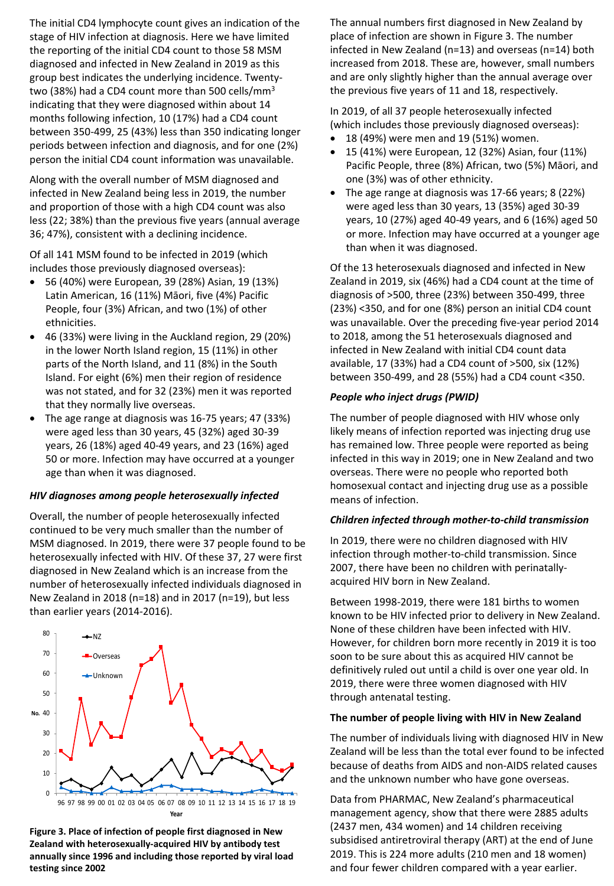The initial CD4 lymphocyte count gives an indication of the stage of HIV infection at diagnosis. Here we have limited the reporting of the initial CD4 count to those 58 MSM diagnosed and infected in New Zealand in 2019 as this group best indicates the underlying incidence. Twentytwo (38%) had a CD4 count more than 500 cells/mm<sup>3</sup> indicating that they were diagnosed within about 14 months following infection, 10 (17%) had a CD4 count between 350-499, 25 (43%) less than 350 indicating longer periods between infection and diagnosis, and for one (2%) person the initial CD4 count information was unavailable.

Along with the overall number of MSM diagnosed and infected in New Zealand being less in 2019, the number and proportion of those with a high CD4 count was also less (22; 38%) than the previous five years (annual average 36; 47%), consistent with a declining incidence.

Of all 141 MSM found to be infected in 2019 (which includes those previously diagnosed overseas):

- 56 (40%) were European, 39 (28%) Asian, 19 (13%) Latin American, 16 (11%) Māori, five (4%) Pacific People, four (3%) African, and two (1%) of other ethnicities.
- 46 (33%) were living in the Auckland region, 29 (20%) in the lower North Island region, 15 (11%) in other parts of the North Island, and 11 (8%) in the South Island. For eight (6%) men their region of residence was not stated, and for 32 (23%) men it was reported that they normally live overseas.
- The age range at diagnosis was 16-75 years; 47 (33%) were aged less than 30 years, 45 (32%) aged 30-39 years, 26 (18%) aged 40-49 years, and 23 (16%) aged 50 or more. Infection may have occurred at a younger age than when it was diagnosed.

## *HIV diagnoses among people heterosexually infected*

Overall, the number of people heterosexually infected continued to be very much smaller than the number of MSM diagnosed. In 2019, there were 37 people found to be heterosexually infected with HIV. Of these 37, 27 were first diagnosed in New Zealand which is an increase from the number of heterosexually infected individuals diagnosed in New Zealand in 2018 (n=18) and in 2017 (n=19), but less than earlier years (2014-2016).



Figure 3. Place of infection of people first diagnosed in New **Zealand with heterosexually-acquired HIV by antibody test** annually since 1996 and including those reported by viral load **testing since 2002**

The annual numbers first diagnosed in New Zealand by place of infection are shown in Figure 3. The number infected in New Zealand (n=13) and overseas (n=14) both increased from 2018. These are, however, small numbers and are only slightly higher than the annual average over the previous five years of 11 and 18, respectively.

In 2019, of all 37 people heterosexually infected (which includes those previously diagnosed overseas):

- 18 (49%) were men and 19 (51%) women.
- 15 (41%) were European, 12 (32%) Asian, four (11%) Pacific People, three (8%) African, two (5%) Māori, and one (3%) was of other ethnicity.
- The age range at diagnosis was  $17-66$  years; 8 (22%) were aged less than 30 years, 13 (35%) aged 30-39 years, 10 (27%) aged 40-49 years, and 6 (16%) aged 50 or more. Infection may have occurred at a younger age than when it was diagnosed.

Of the 13 heterosexuals diagnosed and infected in New Zealand in 2019, six (46%) had a CD4 count at the time of diagnosis of >500, three (23%) between 350-499, three (23%) <350, and for one (8%) person an initial CD4 count was unavailable. Over the preceding five-year period 2014 to 2018, among the 51 heterosexuals diagnosed and infected in New Zealand with initial CD4 count data available, 17 (33%) had a CD4 count of  $>500$ , six (12%) between 350-499, and 28 (55%) had a CD4 count <350.

# **People who inject drugs (PWID)**

The number of people diagnosed with HIV whose only likely means of infection reported was injecting drug use has remained low. Three people were reported as being infected in this way in 2019; one in New Zealand and two overseas. There were no people who reported both homosexual contact and injecting drug use as a possible means of infection.

## *Children infected through mother-to-child transmission*

In 2019, there were no children diagnosed with HIV infection through mother-to-child transmission. Since 2007, there have been no children with perinatallyacquired HIV born in New Zealand.

Between 1998-2019, there were 181 births to women known to be HIV infected prior to delivery in New Zealand. None of these children have been infected with HIV. However, for children born more recently in 2019 it is too soon to be sure about this as acquired HIV cannot be definitively ruled out until a child is over one year old. In 2019, there were three women diagnosed with HIV through antenatal testing.

## The number of people living with HIV in New Zealand

The number of individuals living with diagnosed HIV in New Zealand will be less than the total ever found to be infected because of deaths from AIDS and non-AIDS related causes and the unknown number who have gone overseas.

Data from PHARMAC, New Zealand's pharmaceutical management agency, show that there were 2885 adults (2437 men, 434 women) and 14 children receiving subsidised antiretroviral therapy (ART) at the end of June 2019. This is 224 more adults (210 men and 18 women) and four fewer children compared with a year earlier.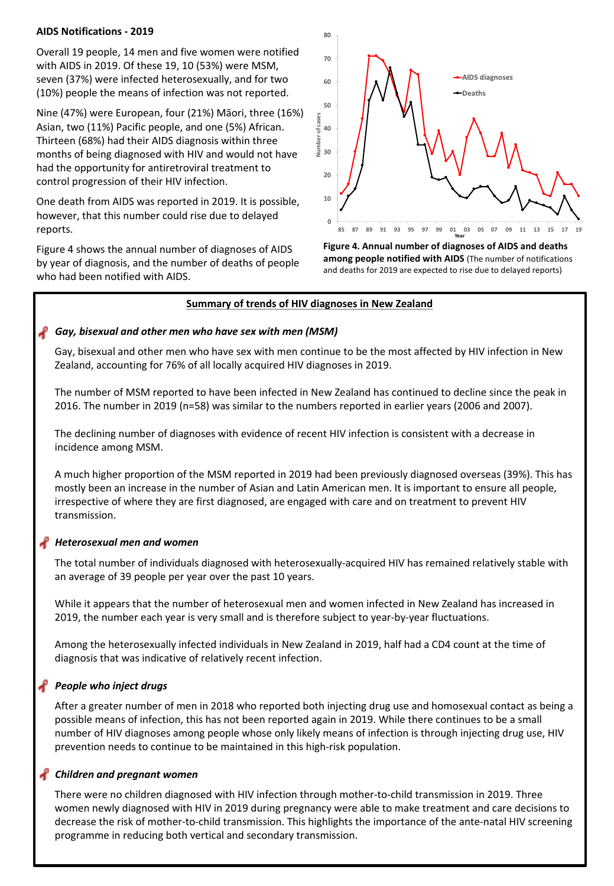### **AIDS Notifications - 2019**

Overall 19 people, 14 men and five women were notified with AIDS in 2019. Of these 19, 10 (53%) were MSM, seven (37%) were infected heterosexually, and for two (10%) people the means of infection was not reported.

Nine (47%) were European, four (21%) Māori, three (16%) Asian, two (11%) Pacific people, and one (5%) African. Thirteen (68%) had their AIDS diagnosis within three months of being diagnosed with HIV and would not have had the opportunity for antiretroviral treatment to control progression of their HIV infection.

One death from AIDS was reported in 2019. It is possible, however, that this number could rise due to delayed reports.

Figure 4 shows the annual number of diagnoses of AIDS by year of diagnosis, and the number of deaths of people who had been notified with AIDS.



Figure 4. Annual number of diagnoses of AIDS and deaths among people notified with AIDS (The number of notifications and deaths for 2019 are expected to rise due to delayed reports)

### **Summary of trends of HIV diagnoses in New Zealand**

### **Gay, bisexual and other men who have sex with men (MSM)**

Gay, bisexual and other men who have sex with men continue to be the most affected by HIV infection in New Zealand, accounting for 76% of all locally acquired HIV diagnoses in 2019.

The number of MSM reported to have been infected in New Zealand has continued to decline since the peak in 2016. The number in 2019 (n=58) was similar to the numbers reported in earlier years (2006 and 2007).

The declining number of diagnoses with evidence of recent HIV infection is consistent with a decrease in incidence among MSM.

A much higher proportion of the MSM reported in 2019 had been previously diagnosed overseas (39%). This has mostly been an increase in the number of Asian and Latin American men. It is important to ensure all people, irrespective of where they are first diagnosed, are engaged with care and on treatment to prevent HIV transmission. 

## *Heterosexual men and women*

The total number of individuals diagnosed with heterosexually-acquired HIV has remained relatively stable with an average of 39 people per year over the past 10 years.

While it appears that the number of heterosexual men and women infected in New Zealand has increased in 2019, the number each year is very small and is therefore subject to year-by-year fluctuations.

Among the heterosexually infected individuals in New Zealand in 2019, half had a CD4 count at the time of diagnosis that was indicative of relatively recent infection.

## **People** who inject drugs

After a greater number of men in 2018 who reported both injecting drug use and homosexual contact as being a possible means of infection, this has not been reported again in 2019. While there continues to be a small number of HIV diagnoses among people whose only likely means of infection is through injecting drug use, HIV prevention needs to continue to be maintained in this high-risk population.

## *Children and pregnant women*

There were no children diagnosed with HIV infection through mother-to-child transmission in 2019. Three women newly diagnosed with HIV in 2019 during pregnancy were able to make treatment and care decisions to decrease the risk of mother-to-child transmission. This highlights the importance of the ante-natal HIV screening programme in reducing both vertical and secondary transmission.